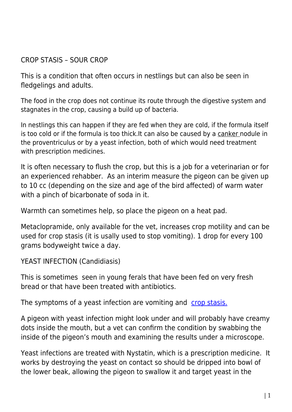CROP STASIS – SOUR CROP

This is a condition that often occurs in nestlings but can also be seen in fledgelings and adults.

The food in the crop does not continue its route through the digestive system and stagnates in the crop, causing a build up of bacteria.

In nestlings this can happen if they are fed when they are cold, if the formula itself is too cold or if the formula is too thick.It can also be caused by a [canker](http://www.pigeonrescue.sirtobyservices.com/canker.html) nodule in the proventriculus or by a yeast infection, both of which would need treatment with prescription medicines.

It is often necessary to flush the crop, but this is a job for a veterinarian or for an experienced rehabber. As an interim measure the pigeon can be given up to 10 cc (depending on the size and age of the bird affected) of warm water with a pinch of bicarbonate of soda in it.

Warmth can sometimes help, so place the pigeon on a heat pad.

Metaclopramide, only available for the vet, increases crop motility and can be used for crop stasis (it is usally used to stop vomiting). 1 drop for every 100 grams bodyweight twice a day.

YEAST INFECTION (Candidiasis)

This is sometimes seen in young ferals that have been fed on very fresh bread or that have been treated with antibiotics.

The symptoms of a yeast infection are vomiting and [crop stasis.](http://www.pigeonrescue.sirtobyservices.com/digestiveproblems.html#931330594)

A pigeon with yeast infection might look under and will probably have creamy dots inside the mouth, but a vet can confirm the condition by swabbing the inside of the pigeon's mouth and examining the results under a microscope.

Yeast infections are treated with Nystatin, which is a prescription medicine. It works by destroying the yeast on contact so should be dripped into bowl of the lower beak, allowing the pigeon to swallow it and target yeast in the